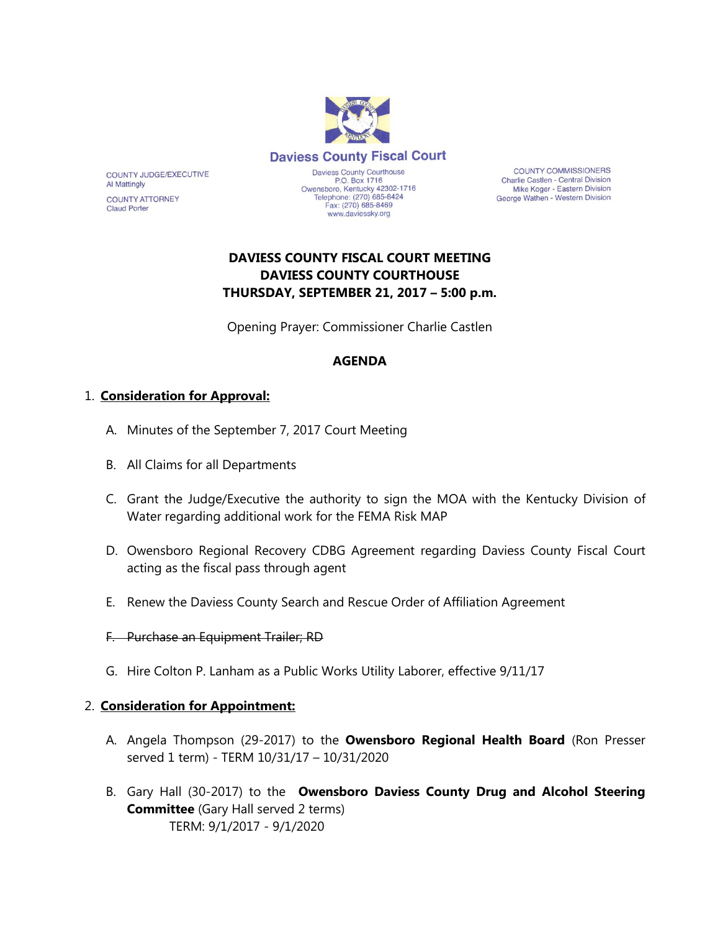

**COUNTY COMMISSIONERS** Charlie Castlen - Central Division Mike Koger - Eastern Division George Wathen - Western Division

# **DAVIESS COUNTY FISCAL COURT MEETING DAVIESS COUNTY COURTHOUSE THURSDAY, SEPTEMBER 21, 2017 – 5:00 p.m.**

Opening Prayer: Commissioner Charlie Castlen

## **AGENDA**

## 1. **Consideration for Approval:**

COUNTY JUDGE/EXECUTIVE

**COUNTY ATTORNEY** 

**Al Mattingly** 

**Claud Porter** 

- A. Minutes of the September 7, 2017 Court Meeting
- B. All Claims for all Departments
- C. Grant the Judge/Executive the authority to sign the MOA with the Kentucky Division of Water regarding additional work for the FEMA Risk MAP
- D. Owensboro Regional Recovery CDBG Agreement regarding Daviess County Fiscal Court acting as the fiscal pass through agent
- E. Renew the Daviess County Search and Rescue Order of Affiliation Agreement
- F. Purchase an Equipment Trailer; RD
- G. Hire Colton P. Lanham as a Public Works Utility Laborer, effective 9/11/17

#### 2. **Consideration for Appointment:**

- A. Angela Thompson (29-2017) to the **Owensboro Regional Health Board** (Ron Presser served 1 term) - TERM 10/31/17 – 10/31/2020
- B. Gary Hall (30-2017) to the **Owensboro Daviess County Drug and Alcohol Steering Committee** (Gary Hall served 2 terms) TERM: 9/1/2017 - 9/1/2020